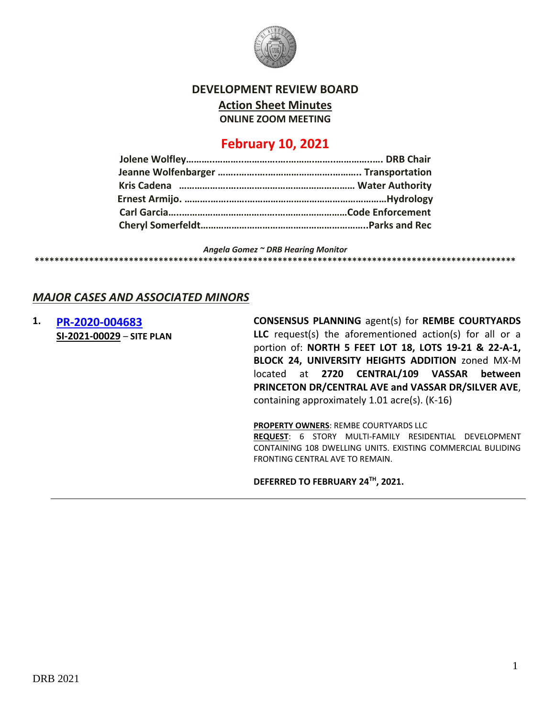

**DEVELOPMENT REVIEW BOARD**

**Action Sheet Minutes**

**ONLINE ZOOM MEETING**

# **February 10, 2021**

*Angela Gomez ~ DRB Hearing Monitor*

#### **\*\*\*\*\*\*\*\*\*\*\*\*\*\*\*\*\*\*\*\*\*\*\*\*\*\*\*\*\*\*\*\*\*\*\*\*\*\*\*\*\*\*\*\*\*\*\*\*\*\*\*\*\*\*\*\*\*\*\*\*\*\*\*\*\*\*\*\*\*\*\*\*\*\*\*\*\*\*\*\*\*\*\*\*\*\*\*\*\*\*\*\*\*\*\*\*\***

### *MAJOR CASES AND ASSOCIATED MINORS*

**1. [PR-2020-004683](http://data.cabq.gov/government/planning/DRB/PR-2020-004683/DRB%20Submittals/PR-2020-004683_Feb_3_2021/PR-2020-004683%20Site%20Plan%20-%20DRB%20Application.pdf) SI-2021-00029** – **SITE PLAN** **CONSENSUS PLANNING** agent(s) for **REMBE COURTYARDS LLC** request(s) the aforementioned action(s) for all or a portion of: **NORTH 5 FEET LOT 18, LOTS 19-21 & 22-A-1, BLOCK 24, UNIVERSITY HEIGHTS ADDITION** zoned MX-M located at **2720 CENTRAL/109 VASSAR between PRINCETON DR/CENTRAL AVE and VASSAR DR/SILVER AVE**, containing approximately 1.01 acre(s). (K-16)

**PROPERTY OWNERS**: REMBE COURTYARDS LLC

**REQUEST**: 6 STORY MULTI-FAMILY RESIDENTIAL DEVELOPMENT CONTAINING 108 DWELLING UNITS. EXISTING COMMERCIAL BULIDING FRONTING CENTRAL AVE TO REMAIN.

**DEFERRED TO FEBRUARY 24TH, 2021.**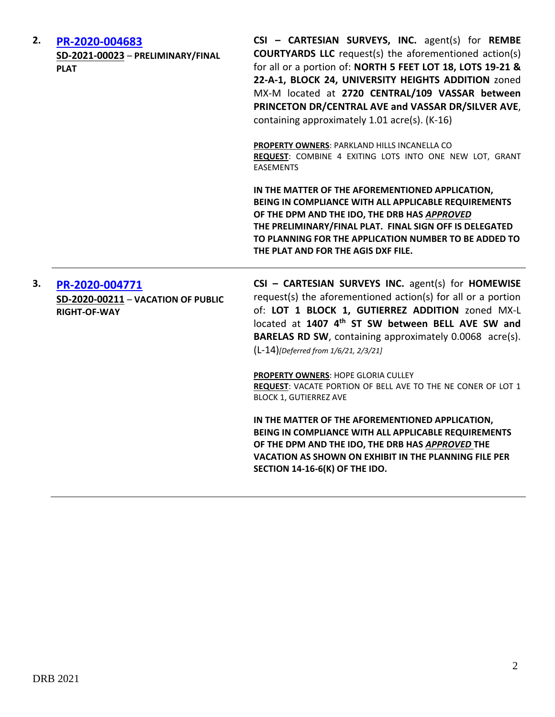| 2. | PR-2020-004683<br>SD-2021-00023 - PRELIMINARY/FINAL<br><b>PLAT</b>          | CSI - CARTESIAN SURVEYS, INC. agent(s) for REMBE<br><b>COURTYARDS LLC</b> request(s) the aforementioned action(s)<br>for all or a portion of: NORTH 5 FEET LOT 18, LOTS 19-21 &<br>22-A-1, BLOCK 24, UNIVERSITY HEIGHTS ADDITION zoned<br>MX-M located at 2720 CENTRAL/109 VASSAR between<br>PRINCETON DR/CENTRAL AVE and VASSAR DR/SILVER AVE,<br>containing approximately 1.01 acre(s). (K-16) |
|----|-----------------------------------------------------------------------------|--------------------------------------------------------------------------------------------------------------------------------------------------------------------------------------------------------------------------------------------------------------------------------------------------------------------------------------------------------------------------------------------------|
|    |                                                                             | <b>PROPERTY OWNERS: PARKLAND HILLS INCANELLA CO</b><br>REQUEST: COMBINE 4 EXITING LOTS INTO ONE NEW LOT, GRANT<br><b>EASEMENTS</b>                                                                                                                                                                                                                                                               |
|    |                                                                             | IN THE MATTER OF THE AFOREMENTIONED APPLICATION,<br>BEING IN COMPLIANCE WITH ALL APPLICABLE REQUIREMENTS<br>OF THE DPM AND THE IDO, THE DRB HAS APPROVED<br>THE PRELIMINARY/FINAL PLAT. FINAL SIGN OFF IS DELEGATED<br>TO PLANNING FOR THE APPLICATION NUMBER TO BE ADDED TO<br>THE PLAT AND FOR THE AGIS DXF FILE.                                                                              |
| 3. | PR-2020-004771<br>SD-2020-00211 - VACATION OF PUBLIC<br><b>RIGHT-OF-WAY</b> | CSI - CARTESIAN SURVEYS INC. agent(s) for HOMEWISE<br>request(s) the aforementioned action(s) for all or a portion<br>of: LOT 1 BLOCK 1, GUTIERREZ ADDITION zoned MX-L<br>located at 1407 4th ST SW between BELL AVE SW and<br><b>BARELAS RD SW, containing approximately 0.0068 acre(s).</b>                                                                                                    |
|    |                                                                             | (L-14)[Deferred from 1/6/21, 2/3/21]                                                                                                                                                                                                                                                                                                                                                             |
|    |                                                                             | PROPERTY OWNERS: HOPE GLORIA CULLEY<br>REQUEST: VACATE PORTION OF BELL AVE TO THE NE CONER OF LOT 1<br><b>BLOCK 1, GUTIERREZ AVE</b>                                                                                                                                                                                                                                                             |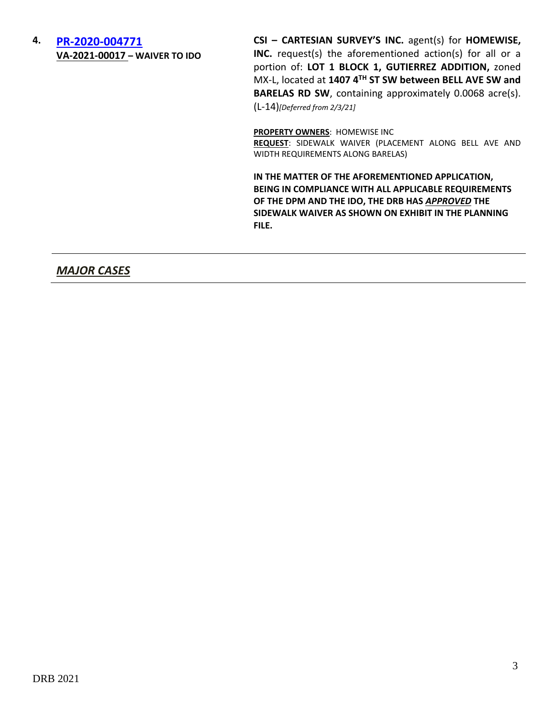### **4. [PR-2020-004771](http://data.cabq.gov/government/planning/DRB/PR-2020-004771/DRB%20Submittals/) VA-2021-00017 – WAIVER TO IDO**

**CSI – CARTESIAN SURVEY'S INC.** agent(s) for **HOMEWISE, INC.** request(s) the aforementioned action(s) for all or a portion of: **LOT 1 BLOCK 1, GUTIERREZ ADDITION,** zoned MX-L, located at **1407 4TH ST SW between BELL AVE SW and BARELAS RD SW**, containing approximately 0.0068 acre(s). (L-14)*[Deferred from 2/3/21]*

**PROPERTY OWNERS**: HOMEWISE INC

**REQUEST**: SIDEWALK WAIVER (PLACEMENT ALONG BELL AVE AND WIDTH REQUIREMENTS ALONG BARELAS)

**IN THE MATTER OF THE AFOREMENTIONED APPLICATION, BEING IN COMPLIANCE WITH ALL APPLICABLE REQUIREMENTS OF THE DPM AND THE IDO, THE DRB HAS** *APPROVED* **THE SIDEWALK WAIVER AS SHOWN ON EXHIBIT IN THE PLANNING FILE.**

## *MAJOR CASES*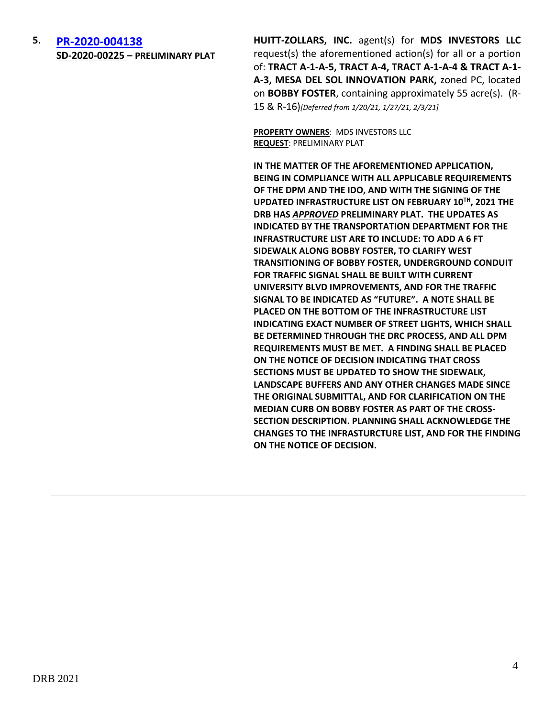**5. [PR-2020-004138](http://data.cabq.gov/government/planning/DRB/PR-2020-004138/DRB%20Submittals/) SD-2020-00225 – PRELIMINARY PLAT** **HUITT-ZOLLARS, INC.** agent(s) for **MDS INVESTORS LLC** request(s) the aforementioned action(s) for all or a portion of: **TRACT A-1-A-5, TRACT A-4, TRACT A-1-A-4 & TRACT A-1- A-3, MESA DEL SOL INNOVATION PARK,** zoned PC, located on **BOBBY FOSTER**, containing approximately 55 acre(s). (R-15 & R-16)*[Deferred from 1/20/21, 1/27/21, 2/3/21]*

**PROPERTY OWNERS**: MDS INVESTORS LLC **REQUEST**: PRELIMINARY PLAT

**IN THE MATTER OF THE AFOREMENTIONED APPLICATION, BEING IN COMPLIANCE WITH ALL APPLICABLE REQUIREMENTS OF THE DPM AND THE IDO, AND WITH THE SIGNING OF THE UPDATED INFRASTRUCTURE LIST ON FEBRUARY 10TH, 2021 THE DRB HAS** *APPROVED* **PRELIMINARY PLAT. THE UPDATES AS INDICATED BY THE TRANSPORTATION DEPARTMENT FOR THE INFRASTRUCTURE LIST ARE TO INCLUDE: TO ADD A 6 FT SIDEWALK ALONG BOBBY FOSTER, TO CLARIFY WEST TRANSITIONING OF BOBBY FOSTER, UNDERGROUND CONDUIT FOR TRAFFIC SIGNAL SHALL BE BUILT WITH CURRENT UNIVERSITY BLVD IMPROVEMENTS, AND FOR THE TRAFFIC SIGNAL TO BE INDICATED AS "FUTURE". A NOTE SHALL BE PLACED ON THE BOTTOM OF THE INFRASTRUCTURE LIST INDICATING EXACT NUMBER OF STREET LIGHTS, WHICH SHALL BE DETERMINED THROUGH THE DRC PROCESS, AND ALL DPM REQUIREMENTS MUST BE MET. A FINDING SHALL BE PLACED ON THE NOTICE OF DECISION INDICATING THAT CROSS SECTIONS MUST BE UPDATED TO SHOW THE SIDEWALK, LANDSCAPE BUFFERS AND ANY OTHER CHANGES MADE SINCE THE ORIGINAL SUBMITTAL, AND FOR CLARIFICATION ON THE MEDIAN CURB ON BOBBY FOSTER AS PART OF THE CROSS-SECTION DESCRIPTION. PLANNING SHALL ACKNOWLEDGE THE CHANGES TO THE INFRASTURCTURE LIST, AND FOR THE FINDING ON THE NOTICE OF DECISION.**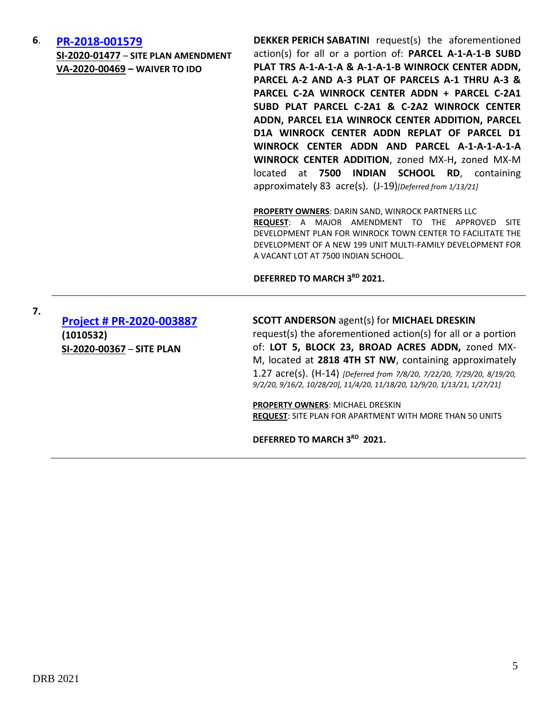#### **6**. **[PR-2018-001579](http://data.cabq.gov/government/planning/DRB/PR-2018-001579/DRB%20Submittals/)**

**SI-2020-01477** – **SITE PLAN AMENDMENT VA-2020-00469 – WAIVER TO IDO**

**DEKKER PERICH SABATINI** request(s) the aforementioned action(s) for all or a portion of: **PARCEL A-1-A-1-B SUBD PLAT TRS A-1-A-1-A & A-1-A-1-B WINROCK CENTER ADDN, PARCEL A-2 AND A-3 PLAT OF PARCELS A-1 THRU A-3 & PARCEL C-2A WINROCK CENTER ADDN + PARCEL C-2A1 SUBD PLAT PARCEL C-2A1 & C-2A2 WINROCK CENTER ADDN, PARCEL E1A WINROCK CENTER ADDITION, PARCEL D1A WINROCK CENTER ADDN REPLAT OF PARCEL D1 WINROCK CENTER ADDN AND PARCEL A-1-A-1-A-1-A WINROCK CENTER ADDITION**, zoned MX-H**,** zoned MX-M located at **7500 INDIAN SCHOOL RD**, containing approximately 83 acre(s). (J-19)*[Deferred from 1/13/21]*

**PROPERTY OWNERS**: DARIN SAND, WINROCK PARTNERS LLC **REQUEST**: A MAJOR AMENDMENT TO THE APPROVED SITE DEVELOPMENT PLAN FOR WINROCK TOWN CENTER TO FACILITATE THE DEVELOPMENT OF A NEW 199 UNIT MULTI-FAMILY DEVELOPMENT FOR A VACANT LOT AT 7500 INDIAN SCHOOL.

**DEFERRED TO MARCH 3RD 2021.**

**[Project # PR-2020-003887](http://data.cabq.gov/government/planning/DRB/PR-2020-003887/DRB%20Submittals/PR-2020-003887_Feb_10_2021_SUPP/Application/) (1010532) SI-2020-00367** – **SITE PLAN**

**7.**

**SCOTT ANDERSON** agent(s) for **MICHAEL DRESKIN** request(s) the aforementioned action(s) for all or a portion of: **LOT 5, BLOCK 23, BROAD ACRES ADDN,** zoned MX-M, located at **2818 4TH ST NW**, containing approximately 1.27 acre(s). (H-14) *[Deferred from 7/8/20, 7/22/20, 7/29/20, 8/19/20,* 

*9/2/20, 9/16/2, 10/28/20], 11/4/20, 11/18/20, 12/9/20, 1/13/21, 1/27/21]*

**PROPERTY OWNERS**: MICHAEL DRESKIN **REQUEST**: SITE PLAN FOR APARTMENT WITH MORE THAN 50 UNITS

**DEFERRED TO MARCH 3RD 2021.**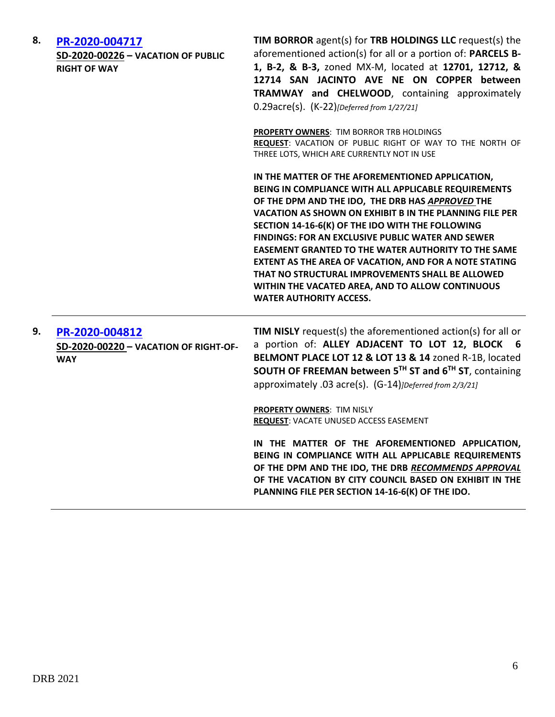| 8. | PR-2020-004717<br>SD-2020-00226 - VACATION OF PUBLIC<br><b>RIGHT OF WAY</b> | TIM BORROR agent(s) for TRB HOLDINGS LLC request(s) the<br>aforementioned action(s) for all or a portion of: PARCELS B-<br>1, B-2, & B-3, zoned MX-M, located at 12701, 12712, &<br>12714 SAN JACINTO AVE NE ON COPPER between<br>TRAMWAY and CHELWOOD, containing approximately<br>$0.29$ acre(s). $(K-22)$ [Deferred from 1/27/21]                                                                                                                                                                                                                                                               |  |
|----|-----------------------------------------------------------------------------|----------------------------------------------------------------------------------------------------------------------------------------------------------------------------------------------------------------------------------------------------------------------------------------------------------------------------------------------------------------------------------------------------------------------------------------------------------------------------------------------------------------------------------------------------------------------------------------------------|--|
|    |                                                                             | PROPERTY OWNERS: TIM BORROR TRB HOLDINGS<br>REQUEST: VACATION OF PUBLIC RIGHT OF WAY TO THE NORTH OF<br>THREE LOTS, WHICH ARE CURRENTLY NOT IN USE                                                                                                                                                                                                                                                                                                                                                                                                                                                 |  |
|    |                                                                             | IN THE MATTER OF THE AFOREMENTIONED APPLICATION,<br>BEING IN COMPLIANCE WITH ALL APPLICABLE REQUIREMENTS<br>OF THE DPM AND THE IDO, THE DRB HAS APPROVED THE<br>VACATION AS SHOWN ON EXHIBIT B IN THE PLANNING FILE PER<br>SECTION 14-16-6(K) OF THE IDO WITH THE FOLLOWING<br>FINDINGS: FOR AN EXCLUSIVE PUBLIC WATER AND SEWER<br><b>EASEMENT GRANTED TO THE WATER AUTHORITY TO THE SAME</b><br>EXTENT AS THE AREA OF VACATION, AND FOR A NOTE STATING<br>THAT NO STRUCTURAL IMPROVEMENTS SHALL BE ALLOWED<br>WITHIN THE VACATED AREA, AND TO ALLOW CONTINUOUS<br><b>WATER AUTHORITY ACCESS.</b> |  |
| 9. | PR-2020-004812<br>SD-2020-00220 - VACATION OF RIGHT-OF-<br><b>WAY</b>       | <b>TIM NISLY</b> request(s) the aforementioned action(s) for all or<br>a portion of: ALLEY ADJACENT TO LOT 12, BLOCK 6<br>BELMONT PLACE LOT 12 & LOT 13 & 14 zoned R-1B, located<br>SOUTH OF FREEMAN between 5TH ST and 6TH ST, containing<br>approximately .03 acre(s). (G-14) <i>JDeferred from 2/3/21</i> ]                                                                                                                                                                                                                                                                                     |  |
|    |                                                                             | PROPERTY OWNERS: TIM NISLY<br>REQUEST: VACATE UNUSED ACCESS EASEMENT                                                                                                                                                                                                                                                                                                                                                                                                                                                                                                                               |  |
|    |                                                                             | IN THE MATTER OF THE AFOREMENTIONED APPLICATION,<br>BEING IN COMPLIANCE WITH ALL APPLICABLE REQUIREMENTS<br>OF THE DPM AND THE IDO, THE DRB RECOMMENDS APPROVAL<br>OF THE VACATION BY CITY COUNCIL BASED ON EXHIBIT IN THE<br>PLANNING FILE PER SECTION 14-16-6(K) OF THE IDO.                                                                                                                                                                                                                                                                                                                     |  |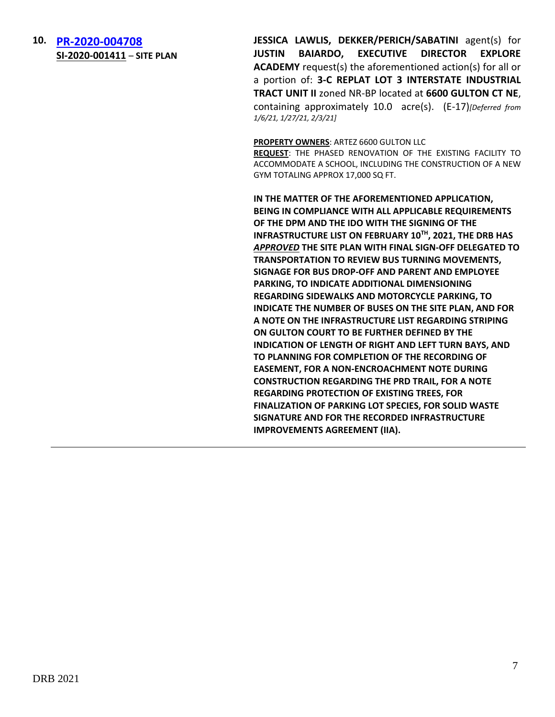**10. [PR-2020-004708](http://data.cabq.gov/government/planning/DRB/PR-2020-004708/DRB%20Submittals/) SI-2020-001411** – **SITE PLAN** **JESSICA LAWLIS, DEKKER/PERICH/SABATINI** agent(s) for **JUSTIN BAIARDO, EXECUTIVE DIRECTOR EXPLORE ACADEMY** request(s) the aforementioned action(s) for all or a portion of: **3-C REPLAT LOT 3 INTERSTATE INDUSTRIAL TRACT UNIT II** zoned NR-BP located at **6600 GULTON CT NE**, containing approximately 10.0 acre(s). (E-17)*[Deferred from 1/6/21, 1/27/21, 2/3/21]*

**PROPERTY OWNERS**: ARTEZ 6600 GULTON LLC

**REQUEST**: THE PHASED RENOVATION OF THE EXISTING FACILITY TO ACCOMMODATE A SCHOOL, INCLUDING THE CONSTRUCTION OF A NEW GYM TOTALING APPROX 17,000 SQ FT.

**IN THE MATTER OF THE AFOREMENTIONED APPLICATION, BEING IN COMPLIANCE WITH ALL APPLICABLE REQUIREMENTS OF THE DPM AND THE IDO WITH THE SIGNING OF THE INFRASTRUCTURE LIST ON FEBRUARY 10TH, 2021, THE DRB HAS**  *APPROVED* **THE SITE PLAN WITH FINAL SIGN-OFF DELEGATED TO TRANSPORTATION TO REVIEW BUS TURNING MOVEMENTS, SIGNAGE FOR BUS DROP-OFF AND PARENT AND EMPLOYEE PARKING, TO INDICATE ADDITIONAL DIMENSIONING REGARDING SIDEWALKS AND MOTORCYCLE PARKING, TO INDICATE THE NUMBER OF BUSES ON THE SITE PLAN, AND FOR A NOTE ON THE INFRASTRUCTURE LIST REGARDING STRIPING ON GULTON COURT TO BE FURTHER DEFINED BY THE INDICATION OF LENGTH OF RIGHT AND LEFT TURN BAYS, AND TO PLANNING FOR COMPLETION OF THE RECORDING OF EASEMENT, FOR A NON-ENCROACHMENT NOTE DURING CONSTRUCTION REGARDING THE PRD TRAIL, FOR A NOTE REGARDING PROTECTION OF EXISTING TREES, FOR FINALIZATION OF PARKING LOT SPECIES, FOR SOLID WASTE SIGNATURE AND FOR THE RECORDED INFRASTRUCTURE IMPROVEMENTS AGREEMENT (IIA).**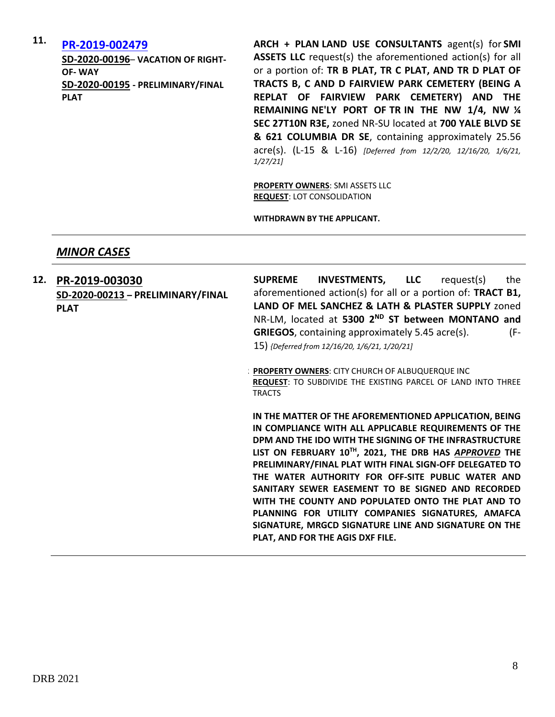# **11. [PR-2019-002479](http://data.cabq.gov/government/planning/DRB/PR-2019-002479/DRB%20Submittals/)**

**SD-2020-00196**– **VACATION OF RIGHT-OF- WAY SD-2020-00195 - PRELIMINARY/FINAL PLAT**

**ARCH + PLAN LAND USE CONSULTANTS** agent(s) for **SMI ASSETS LLC** request(s) the aforementioned action(s) for all or a portion of: **TR B PLAT, TR C PLAT, AND TR D PLAT OF TRACTS B, C AND D FAIRVIEW PARK CEMETERY (BEING A REPLAT OF FAIRVIEW PARK CEMETERY) AND THE REMAINING NE'LY PORT OF TR IN THE NW 1/4, NW ¼ SEC 27T10N R3E,** zoned NR-SU located at **700 YALE BLVD SE & 621 COLUMBIA DR SE**, containing approximately 25.56 acre(s). (L-15 & L-16) *[Deferred from 12/2/20, 12/16/20, 1/6/21, 1/27/21]*

**PROPERTY OWNERS**: SMI ASSETS LLC **REQUEST**: LOT CONSOLIDATION

**WITHDRAWN BY THE APPLICANT.**

## *MINOR CASES*

**12. [PR-2019-003030](http://data.cabq.gov/government/planning/DRB/PR-2019-003030/DRB%20Submittals/) SD-2020-00213 – PRELIMINARY/FINAL PLAT SUPREME INVESTMENTS, LLC** request(s) the aforementioned action(s) for all or a portion of: **TRACT B1, LAND OF MEL SANCHEZ & LATH & PLASTER SUPPLY** zoned NR-LM, located at **5300 2ND ST between MONTANO and GRIEGOS**, containing approximately 5.45 acre(s). (F-15) *{Deferred from 12/16/20, 1/6/21, 1/20/21]* **PROPERTY OWNERS: CITY CHURCH OF ALBUQUERQUE INC** 

**REQUEST**: TO SUBDIVIDE THE EXISTING PARCEL OF LAND INTO THREE TRACTS

**IN THE MATTER OF THE AFOREMENTIONED APPLICATION, BEING IN COMPLIANCE WITH ALL APPLICABLE REQUIREMENTS OF THE DPM AND THE IDO WITH THE SIGNING OF THE INFRASTRUCTURE LIST ON FEBRUARY 10TH, 2021, THE DRB HAS** *APPROVED* **THE PRELIMINARY/FINAL PLAT WITH FINAL SIGN-OFF DELEGATED TO THE WATER AUTHORITY FOR OFF-SITE PUBLIC WATER AND SANITARY SEWER EASEMENT TO BE SIGNED AND RECORDED WITH THE COUNTY AND POPULATED ONTO THE PLAT AND TO PLANNING FOR UTILITY COMPANIES SIGNATURES, AMAFCA SIGNATURE, MRGCD SIGNATURE LINE AND SIGNATURE ON THE PLAT, AND FOR THE AGIS DXF FILE.**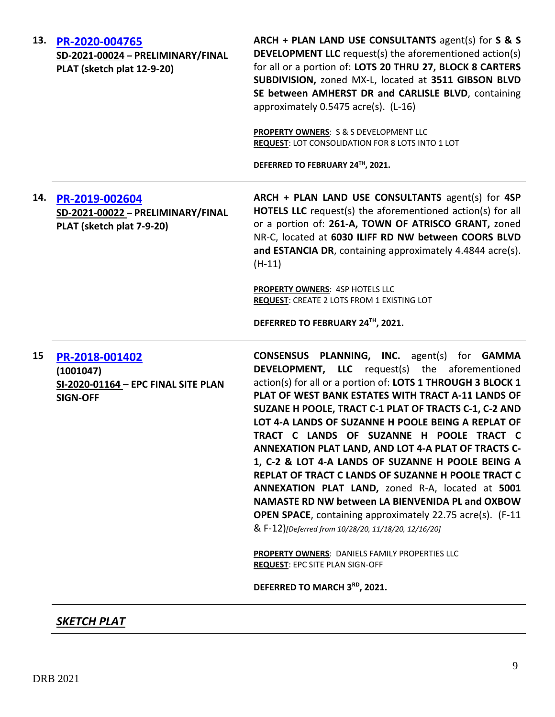| 13. | PR-2020-004765<br>SD-2021-00024 - PRELIMINARY/FINAL<br>PLAT (sketch plat 12-9-20)     | ARCH + PLAN LAND USE CONSULTANTS agent(s) for S & S<br><b>DEVELOPMENT LLC</b> request(s) the aforementioned action(s)<br>for all or a portion of: LOTS 20 THRU 27, BLOCK 8 CARTERS<br>SUBDIVISION, zoned MX-L, located at 3511 GIBSON BLVD<br>SE between AMHERST DR and CARLISLE BLVD, containing<br>approximately 0.5475 acre(s). (L-16)                                                                                                                                                                                                                                                                                                                                                                                                                                                  |
|-----|---------------------------------------------------------------------------------------|--------------------------------------------------------------------------------------------------------------------------------------------------------------------------------------------------------------------------------------------------------------------------------------------------------------------------------------------------------------------------------------------------------------------------------------------------------------------------------------------------------------------------------------------------------------------------------------------------------------------------------------------------------------------------------------------------------------------------------------------------------------------------------------------|
|     |                                                                                       | PROPERTY OWNERS: S & S DEVELOPMENT LLC<br>REQUEST: LOT CONSOLIDATION FOR 8 LOTS INTO 1 LOT                                                                                                                                                                                                                                                                                                                                                                                                                                                                                                                                                                                                                                                                                                 |
|     |                                                                                       | DEFERRED TO FEBRUARY 24TH, 2021.                                                                                                                                                                                                                                                                                                                                                                                                                                                                                                                                                                                                                                                                                                                                                           |
| 14. | PR-2019-002604<br>SD-2021-00022 - PRELIMINARY/FINAL<br>PLAT (sketch plat 7-9-20)      | ARCH + PLAN LAND USE CONSULTANTS agent(s) for 4SP<br><b>HOTELS LLC</b> request(s) the aforementioned action(s) for all<br>or a portion of: 261-A, TOWN OF ATRISCO GRANT, zoned<br>NR-C, located at 6030 ILIFF RD NW between COORS BLVD<br>and ESTANCIA DR, containing approximately 4.4844 acre(s).<br>$(H-11)$                                                                                                                                                                                                                                                                                                                                                                                                                                                                            |
|     |                                                                                       | PROPERTY OWNERS: 4SP HOTELS LLC<br><b>REQUEST: CREATE 2 LOTS FROM 1 EXISTING LOT</b>                                                                                                                                                                                                                                                                                                                                                                                                                                                                                                                                                                                                                                                                                                       |
|     |                                                                                       | DEFERRED TO FEBRUARY 24™, 2021.                                                                                                                                                                                                                                                                                                                                                                                                                                                                                                                                                                                                                                                                                                                                                            |
| 15  | PR-2018-001402<br>(1001047)<br>SI-2020-01164 - EPC FINAL SITE PLAN<br><b>SIGN-OFF</b> | CONSENSUS PLANNING, INC. agent(s) for GAMMA<br><b>DEVELOPMENT, LLC</b> request(s) the aforementioned<br>action(s) for all or a portion of: LOTS 1 THROUGH 3 BLOCK 1<br>PLAT OF WEST BANK ESTATES WITH TRACT A-11 LANDS OF<br>SUZANE H POOLE, TRACT C-1 PLAT OF TRACTS C-1, C-2 AND<br>LOT 4-A LANDS OF SUZANNE H POOLE BEING A REPLAT OF<br>TRACT C LANDS OF SUZANNF H POOLF TRACT C<br>ANNEXATION PLAT LAND, AND LOT 4-A PLAT OF TRACTS C-<br>1, C-2 & LOT 4-A LANDS OF SUZANNE H POOLE BEING A<br>REPLAT OF TRACT C LANDS OF SUZANNE H POOLE TRACT C<br>ANNEXATION PLAT LAND, zoned R-A, located at 5001<br>NAMASTE RD NW between LA BIENVENIDA PL and OXBOW<br><b>OPEN SPACE</b> , containing approximately 22.75 acre(s). (F-11<br>& F-12)[Deferred from 10/28/20, 11/18/20, 12/16/20] |
|     |                                                                                       | PROPERTY OWNERS: DANIELS FAMILY PROPERTIES LLC<br><b>REQUEST: EPC SITE PLAN SIGN-OFF</b>                                                                                                                                                                                                                                                                                                                                                                                                                                                                                                                                                                                                                                                                                                   |
|     |                                                                                       | DEFERRED TO MARCH 3RD, 2021.                                                                                                                                                                                                                                                                                                                                                                                                                                                                                                                                                                                                                                                                                                                                                               |
|     | <b>SKETCH PLAT</b>                                                                    |                                                                                                                                                                                                                                                                                                                                                                                                                                                                                                                                                                                                                                                                                                                                                                                            |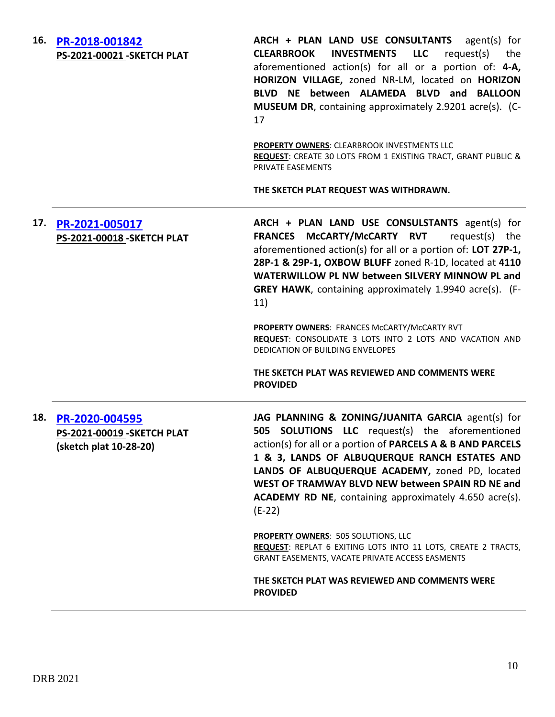| 16. | PR-2018-001842<br>PS-2021-00021-SKETCH PLAT                             | ARCH + PLAN LAND USE CONSULTANTS<br>agent(s) for<br><b>INVESTMENTS LLC</b><br>request(s) the<br><b>CLEARBROOK</b><br>aforementioned action(s) for all or a portion of: 4-A,<br>HORIZON VILLAGE, zoned NR-LM, located on HORIZON<br>BLVD NE between ALAMEDA BLVD and BALLOON<br><b>MUSEUM DR</b> , containing approximately 2.9201 acre(s). (C-<br>17                                                     |
|-----|-------------------------------------------------------------------------|----------------------------------------------------------------------------------------------------------------------------------------------------------------------------------------------------------------------------------------------------------------------------------------------------------------------------------------------------------------------------------------------------------|
|     |                                                                         | PROPERTY OWNERS: CLEARBROOK INVESTMENTS LLC<br>REQUEST: CREATE 30 LOTS FROM 1 EXISTING TRACT, GRANT PUBLIC &<br>PRIVATE EASEMENTS                                                                                                                                                                                                                                                                        |
|     |                                                                         | THE SKETCH PLAT REQUEST WAS WITHDRAWN.                                                                                                                                                                                                                                                                                                                                                                   |
| 17. | PR-2021-005017<br>PS-2021-00018 - SKETCH PLAT                           | ARCH + PLAN LAND USE CONSULSTANTS agent(s) for<br>FRANCES McCARTY/McCARTY RVT<br>request(s) the<br>aforementioned action(s) for all or a portion of: LOT 27P-1,<br>28P-1 & 29P-1, OXBOW BLUFF zoned R-1D, located at 4110<br>WATERWILLOW PL NW between SILVERY MINNOW PL and<br><b>GREY HAWK, containing approximately 1.9940 acre(s).</b> (F-<br>11)                                                    |
|     |                                                                         | PROPERTY OWNERS: FRANCES McCARTY/McCARTY RVT<br>REQUEST: CONSOLIDATE 3 LOTS INTO 2 LOTS AND VACATION AND<br>DEDICATION OF BUILDING ENVELOPES                                                                                                                                                                                                                                                             |
|     |                                                                         | THE SKETCH PLAT WAS REVIEWED AND COMMENTS WERE<br><b>PROVIDED</b>                                                                                                                                                                                                                                                                                                                                        |
| 18. | PR-2020-004595<br>PS-2021-00019 - SKETCH PLAT<br>(sketch plat 10-28-20) | JAG PLANNING & ZONING/JUANITA GARCIA agent(s) for<br>505 SOLUTIONS LLC request(s) the aforementioned<br>action(s) for all or a portion of PARCELS A & B AND PARCELS<br>1 & 3, LANDS OF ALBUQUERQUE RANCH ESTATES AND<br>LANDS OF ALBUQUERQUE ACADEMY, zoned PD, located<br>WEST OF TRAMWAY BLVD NEW between SPAIN RD NE and<br><b>ACADEMY RD NE, containing approximately 4.650 acre(s).</b><br>$(E-22)$ |
|     |                                                                         | <b>PROPERTY OWNERS: 505 SOLUTIONS, LLC</b><br>REQUEST: REPLAT 6 EXITING LOTS INTO 11 LOTS, CREATE 2 TRACTS,<br>GRANT EASEMENTS, VACATE PRIVATE ACCESS EASMENTS                                                                                                                                                                                                                                           |
|     |                                                                         | THE SKETCH PLAT WAS REVIEWED AND COMMENTS WERE<br><b>PROVIDED</b>                                                                                                                                                                                                                                                                                                                                        |